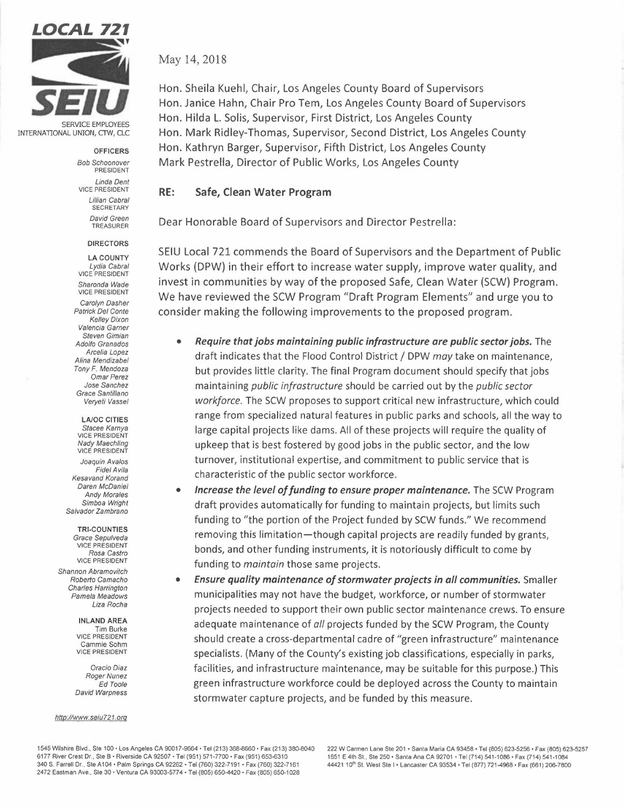

INTERNATIONAL UNION, CTW, CLC

**OFFICERS** 

*Bob Schoonover*  PRESIDENT *Linda Dent*  VICE PRESIDENT *Lillian Cabral*  **SECRETARY** *David Green*  TREASURER

## **DIRECTORS**

**LA COUNTY**  *Lydia Cabral*  VICE PRESIDENT *Sharonda Wade*  VICE PRESIDENT *Carolyn Dasher Patrick Del Conte Kelley Dixon Valencia Garner Steven Gimian Adolfo Granados Arcelia Lopez Alina Mendizabel Tony F. Mendoza Omar Perez Jose Sanchez Grace Santillano Veryeti Vassel* 

**LA/OC CITIES**  *Stacee Karnya*  VICE PRESIDENT *Nady Maechling*  VICE PRESIDENT

*Joaquin Avalos Fide/Avila Kesavand Korand Daren McDaniel Andy Morales Simboa Wright Salvador Zambrano* 

**TRI-COUNTIES** 

*Grace Sepulveda*  VICE PRESIDENT *Rosa Castro*  VICE PRESIDENT

*Shannon Abramovitch Roberto Camacho Charles Harrington Pamela Meadows Liza Rocha* 

> **INLAND AREA**  Tim Burke VICE PRESIDENT Cammie Sohm VICE PRESIDENT

*Oracio Diaz Roger Nunez Ed Toole David Warpness* 

## *http://www.seiu721.org*

May 14, 2018

Hon. Sheila Kuehl, Chair, Los Angeles County Board of Supervisors Hon. Janice Hahn, Chair Pro Tern, Los Angeles County Board of Supervisors Hon. Hilda L. Solis, Supervisor, First District, Los Angeles County Hon. Mark Ridley-Thomas, Supervisor, Second District, Los Angeles County Hon. Kathryn Barger, Supervisor, Fifth District, Los Angeles County Mark Pestrella, Director of Public Works, Los Angeles County

## **RE: Safe, Clean Water Program**

Dear Honorable Board of Supervisors and Director Pestrella:

SEIU Local 721 commends the Board of Supervisors and the Department of Public Works (DPW) in their effort to increase water supply, improve water quality, and invest in communities by way of the proposed Safe, Clean Water (SCW) Program. We have reviewed the SCW Program "Draft Program Elements" and urge you to consider making the following improvements to the proposed program.

- *Require that jobs maintaining public infrastructure are public sector jobs.* The draft indicates that the Flood Control District/ DPW *may* take on maintenance, but provides little clarity. The final Program document should specify that jobs maintaining *public infrastructure* should be carried out by the *public sector workforce.* The SCW proposes to support critical new infrastructure, which could range from specialized natural features in public parks and schools, all the way to large capital projects like dams. All of these projects will require the quality of upkeep that is best fostered by good jobs in the public sector, and the low turnover, institutional expertise, and commitment to public service that is characteristic of the public sector workforce.
- *<i>Increase the level of funding to ensure proper maintenance.* The SCW Program draft provides automatically for funding to maintain projects, but limits such funding to "the portion of the Project funded by SCW funds." We recommend removing this limitation-though capital projects are readily funded by grants, bonds, and other funding instruments, it is notoriously difficult to come by funding to *maintain* those same projects.
- *Ensure quality maintenance of stormwater projects in all communities.* Smaller municipalities may not have the budget, workforce, or number of stormwater projects needed to support their own public sector maintenance crews. To ensure adequate maintenance of *all* projects funded by the SCW Program, the County should create a cross-departmental cadre of "green infrastructure" maintenance specialists. (Many of the County's existing job classifications, especially in parks, facilities, and infrastructure maintenance, may be suitable for this purpose.) This green infrastructure workforce could be deployed across the County to maintain stormwater capture projects, and be funded by this measure.

1545 Wilshire Blvd., Ste 100 • Los Angeles CA 90017-9664 • Tel (213) 368-8660, Fax (213) 38D-8040 6177 River Crest Dr., Ste B • Riverside CA 92507 • Tel (951) 571-7700 • Fax (951) 653-6310 340 S. Farrell Dr., Ste A104 • Palm Springs CA 92262 • Tel (760) 322-7191 • Fax (760) 322-7161 2472 Eastman Ave., Ste 30 • Ventura CA 93003-5774 • Tel (805) 650-4420 • Fax (805) 65D-1028